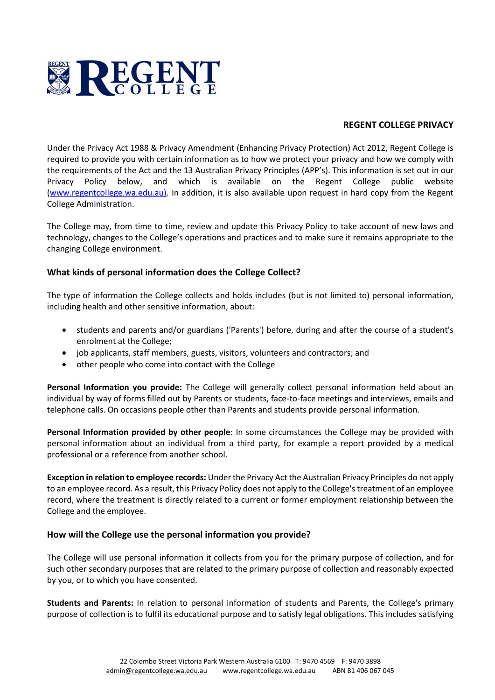

# **REGENT COLLEGE PRIVACY**

Under the Privacy Act 1988 & Privacy Amendment (Enhancing Privacy Protection) Act 2012, Regent College is required to provide you with certain information as to how we protect your privacy and how we comply with the requirements of the Act and the 13 Australian Privacy Principles (APP's). This information is set out in our Privacy Policy below, and which is available on the Regent College public website [\(www.regentcollege.wa.edu.au\).](http://www.regentcollege.wa.edu.au)/) In addition, it is also available upon request in hard copy from the Regent College Administration.

The College may, from time to time, review and update this Privacy Policy to take account of new laws and technology, changes to the College's operations and practices and to make sure it remains appropriate to the changing College environment.

# **What kinds of personal information does the College Collect?**

The type of information the College collects and holds includes (but is not limited to) personal information, including health and other sensitive information, about:

- students and parents and/or guardians ('Parents') before, during and after the course of a student's enrolment at the College;
- job applicants, staff members, guests, visitors, volunteers and contractors; and
- other people who come into contact with the College

**Personal Information you provide:** The College will generally collect personal information held about an individual by way of forms filled out by Parents or students, face-to-face meetings and interviews, emails and telephone calls. On occasions people other than Parents and students provide personal information.

**Personal Information provided by other people**: In some circumstances the College may be provided with personal information about an individual from a third party, for example a report provided by a medical professional or a reference from another school.

**Exception in relation to employee records:** Under the Privacy Act the Australian Privacy Principles do not apply to an employee record. As a result, this Privacy Policy does not apply to the College's treatment of an employee record, where the treatment is directly related to a current or former employment relationship between the College and the employee.

# **How will the College use the personal information you provide?**

The College will use personal information it collects from you for the primary purpose of collection, and for such other secondary purposes that are related to the primary purpose of collection and reasonably expected by you, or to which you have consented.

**Students and Parents:** In relation to personal information of students and Parents, the College's primary purpose of collection is to fulfil its educational purpose and to satisfy legal obligations. This includes satisfying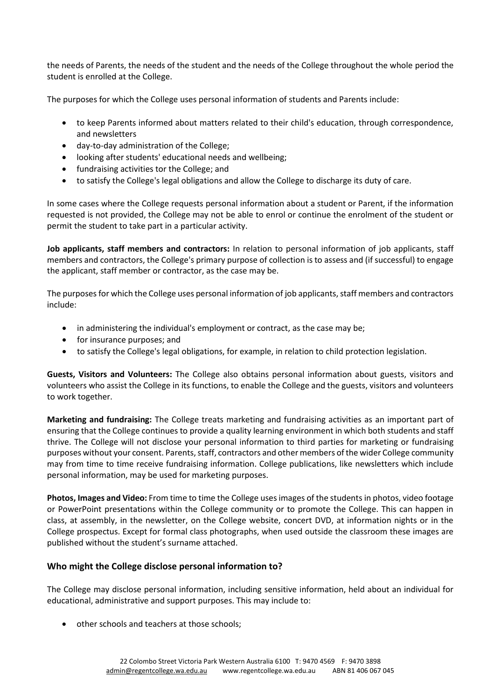the needs of Parents, the needs of the student and the needs of the College throughout the whole period the student is enrolled at the College.

The purposes for which the College uses personal information of students and Parents include:

- to keep Parents informed about matters related to their child's education, through correspondence, and newsletters
- day-to-day administration of the College;
- looking after students' educational needs and wellbeing;
- fundraising activities tor the College; and
- to satisfy the College's legal obligations and allow the College to discharge its duty of care.

In some cases where the College requests personal information about a student or Parent, if the information requested is not provided, the College may not be able to enrol or continue the enrolment of the student or permit the student to take part in a particular activity.

**Job applicants, staff members and contractors:** In relation to personal information of job applicants, staff members and contractors, the College's primary purpose of collection is to assess and (if successful) to engage the applicant, staff member or contractor, as the case may be.

The purposes for which the College uses personal information of job applicants, staff members and contractors include:

- in administering the individual's employment or contract, as the case may be;
- for insurance purposes; and
- to satisfy the College's legal obligations, for example, in relation to child protection legislation.

**Guests, Visitors and Volunteers:** The College also obtains personal information about guests, visitors and volunteers who assist the College in its functions, to enable the College and the guests, visitors and volunteers to work together.

**Marketing and fundraising:** The College treats marketing and fundraising activities as an important part of ensuring that the College continues to provide a quality learning environment in which both students and staff thrive. The College will not disclose your personal information to third parties for marketing or fundraising purposes without your consent. Parents, staff, contractors and other members of the wider College community may from time to time receive fundraising information. College publications, like newsletters which include personal information, may be used for marketing purposes.

**Photos, Images and Video:** From time to time the College uses images of the students in photos, video footage or PowerPoint presentations within the College community or to promote the College. This can happen in class, at assembly, in the newsletter, on the College website, concert DVD, at information nights or in the College prospectus. Except for formal class photographs, when used outside the classroom these images are published without the student's surname attached.

# **Who might the College disclose personal information to?**

The College may disclose personal information, including sensitive information, held about an individual for educational, administrative and support purposes. This may include to:

• other schools and teachers at those schools;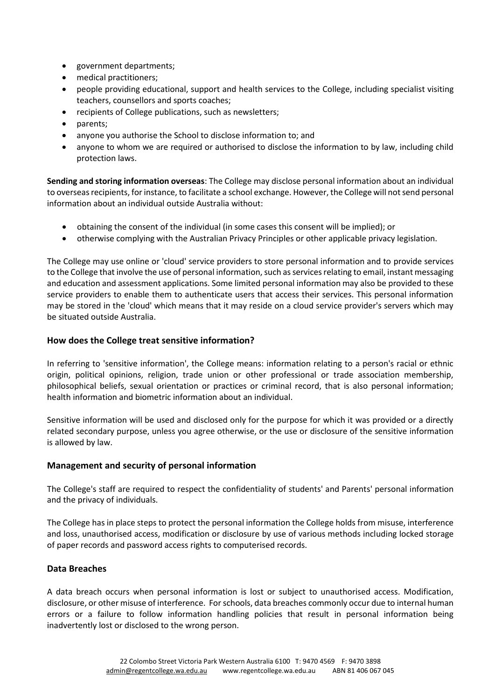- government departments;
- medical practitioners;
- people providing educational, support and health services to the College, including specialist visiting teachers, counsellors and sports coaches;
- recipients of College publications, such as newsletters;
- parents;
- anyone you authorise the School to disclose information to; and
- anyone to whom we are required or authorised to disclose the information to by law, including child protection laws.

**Sending and storing information overseas**: The College may disclose personal information about an individual to overseas recipients, for instance, to facilitate a school exchange. However, the College will not send personal information about an individual outside Australia without:

- obtaining the consent of the individual (in some cases this consent will be implied); or
- otherwise complying with the Australian Privacy Principles or other applicable privacy legislation.

The College may use online or 'cloud' service providers to store personal information and to provide services to the College that involve the use of personal information, such as services relating to email, instant messaging and education and assessment applications. Some limited personal information may also be provided to these service providers to enable them to authenticate users that access their services. This personal information may be stored in the 'cloud' which means that it may reside on a cloud service provider's servers which may be situated outside Australia.

### **How does the College treat sensitive information?**

In referring to 'sensitive information', the College means: information relating to a person's racial or ethnic origin, political opinions, religion, trade union or other professional or trade association membership, philosophical beliefs, sexual orientation or practices or criminal record, that is also personal information; health information and biometric information about an individual.

Sensitive information will be used and disclosed only for the purpose for which it was provided or a directly related secondary purpose, unless you agree otherwise, or the use or disclosure of the sensitive information is allowed by law.

#### **Management and security of personal information**

The College's staff are required to respect the confidentiality of students' and Parents' personal information and the privacy of individuals.

The College has in place steps to protect the personal information the College holds from misuse, interference and loss, unauthorised access, modification or disclosure by use of various methods including locked storage of paper records and password access rights to computerised records.

#### **Data Breaches**

A data breach occurs when personal information is lost or subject to unauthorised access. Modification, disclosure, or other misuse of interference. For schools, data breaches commonly occur due to internal human errors or a failure to follow information handling policies that result in personal information being inadvertently lost or disclosed to the wrong person.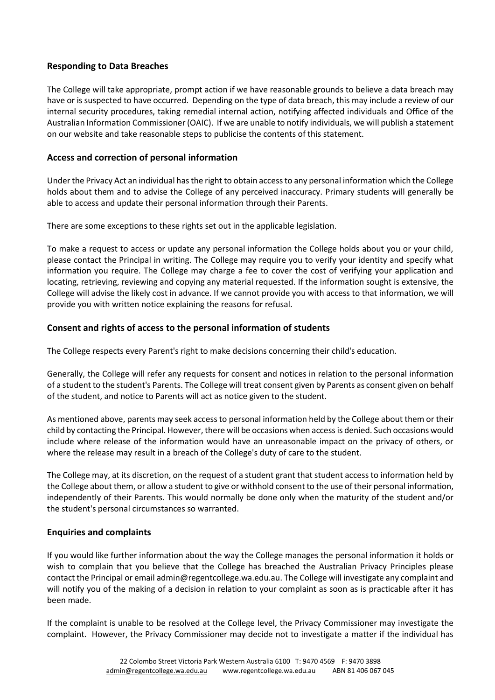# **Responding to Data Breaches**

The College will take appropriate, prompt action if we have reasonable grounds to believe a data breach may have or is suspected to have occurred. Depending on the type of data breach, this may include a review of our internal security procedures, taking remedial internal action, notifying affected individuals and Office of the Australian Information Commissioner (OAIC). If we are unable to notify individuals, we will publish a statement on our website and take reasonable steps to publicise the contents of this statement.

# **Access and correction of personal information**

Under the Privacy Act an individual has the right to obtain access to any personal information which the College holds about them and to advise the College of any perceived inaccuracy. Primary students will generally be able to access and update their personal information through their Parents.

There are some exceptions to these rights set out in the applicable legislation.

To make a request to access or update any personal information the College holds about you or your child, please contact the Principal in writing. The College may require you to verify your identity and specify what information you require. The College may charge a fee to cover the cost of verifying your application and locating, retrieving, reviewing and copying any material requested. If the information sought is extensive, the College will advise the likely cost in advance. If we cannot provide you with access to that information, we will provide you with written notice explaining the reasons for refusal.

# **Consent and rights of access to the personal information of students**

The College respects every Parent's right to make decisions concerning their child's education.

Generally, the College will refer any requests for consent and notices in relation to the personal information of a student to the student's Parents. The College will treat consent given by Parents as consent given on behalf of the student, and notice to Parents will act as notice given to the student.

As mentioned above, parents may seek access to personal information held by the College about them or their child by contacting the Principal. However, there will be occasions when access is denied. Such occasions would include where release of the information would have an unreasonable impact on the privacy of others, or where the release may result in a breach of the College's duty of care to the student.

The College may, at its discretion, on the request of a student grant that student access to information held by the College about them, or allow a student to give or withhold consent to the use of their personal information, independently of their Parents. This would normally be done only when the maturity of the student and/or the student's personal circumstances so warranted.

# **Enquiries and complaints**

If you would like further information about the way the College manages the personal information it holds or wish to complain that you believe that the College has breached the Australian Privacy Principles please contact the Principal or email admin@regentcollege.wa.edu.au. The College will investigate any complaint and will notify you of the making of a decision in relation to your complaint as soon as is practicable after it has been made.

If the complaint is unable to be resolved at the College level, the Privacy Commissioner may investigate the complaint. However, the Privacy Commissioner may decide not to investigate a matter if the individual has